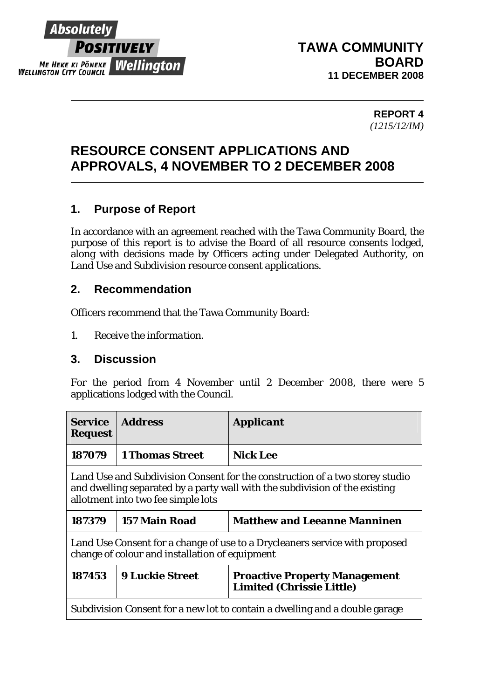

### **TAWA COMMUNITY BOARD 11 DECEMBER 2008**

**REPORT 4**  *(1215/12/IM)* 

# **RESOURCE CONSENT APPLICATIONS AND APPROVALS, 4 NOVEMBER TO 2 DECEMBER 2008**

## **1. Purpose of Report**

In accordance with an agreement reached with the Tawa Community Board, the purpose of this report is to advise the Board of all resource consents lodged, along with decisions made by Officers acting under Delegated Authority, on Land Use and Subdivision resource consent applications.

#### **2. Recommendation**

Officers recommend that the Tawa Community Board:

*1. Receive the information.* 

#### **3. Discussion**

For the period from 4 November until 2 December 2008, there were 5 applications lodged with the Council.

| <b>Service</b><br><b>Request</b>                                                                                                                                                                  | <b>Address</b>         | <b>Applicant</b>                                                         |  |
|---------------------------------------------------------------------------------------------------------------------------------------------------------------------------------------------------|------------------------|--------------------------------------------------------------------------|--|
| 187079                                                                                                                                                                                            | <b>1 Thomas Street</b> | <b>Nick Lee</b>                                                          |  |
| Land Use and Subdivision Consent for the construction of a two storey studio<br>and dwelling separated by a party wall with the subdivision of the existing<br>allotment into two fee simple lots |                        |                                                                          |  |
| 187379                                                                                                                                                                                            | 157 Main Road          | <b>Matthew and Leeanne Manninen</b>                                      |  |
| Land Use Consent for a change of use to a Drycleaners service with proposed<br>change of colour and installation of equipment                                                                     |                        |                                                                          |  |
| 187453                                                                                                                                                                                            | <b>9 Luckie Street</b> | <b>Proactive Property Management</b><br><b>Limited (Chrissie Little)</b> |  |
| Subdivision Consent for a new lot to contain a dwelling and a double garage                                                                                                                       |                        |                                                                          |  |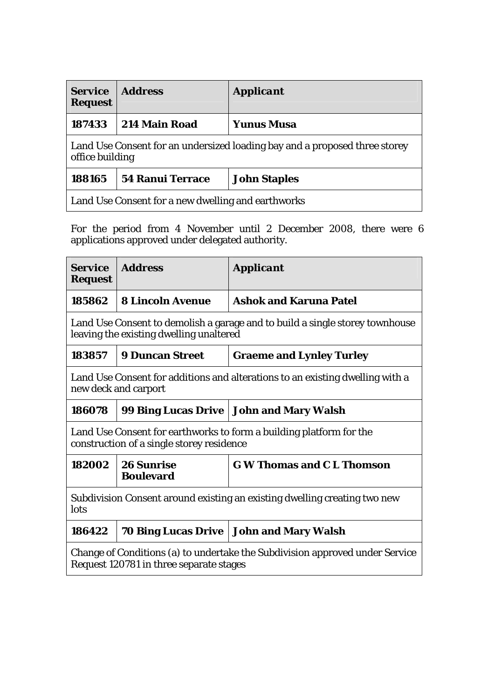| <b>Service</b><br><b>Request</b>                                                              | <b>Address</b>          | <b>Applicant</b>    |  |  |
|-----------------------------------------------------------------------------------------------|-------------------------|---------------------|--|--|
| 187433                                                                                        | 214 Main Road           | <b>Yunus Musa</b>   |  |  |
| Land Use Consent for an undersized loading bay and a proposed three storey<br>office building |                         |                     |  |  |
| 188165                                                                                        | <b>54 Ranui Terrace</b> | <b>John Staples</b> |  |  |
| Land Use Consent for a new dwelling and earthworks                                            |                         |                     |  |  |

For the period from 4 November until 2 December 2008, there were 6 applications approved under delegated authority.

| <b>Service</b><br><b>Request</b>                                                                                        | <b>Address</b>                        | <b>Applicant</b>                          |  |  |
|-------------------------------------------------------------------------------------------------------------------------|---------------------------------------|-------------------------------------------|--|--|
| 185862                                                                                                                  | <b>8 Lincoln Avenue</b>               | <b>Ashok and Karuna Patel</b>             |  |  |
| Land Use Consent to demolish a garage and to build a single storey townhouse<br>leaving the existing dwelling unaltered |                                       |                                           |  |  |
| 183857                                                                                                                  | <b>9 Duncan Street</b>                | <b>Graeme and Lynley Turley</b>           |  |  |
| Land Use Consent for additions and alterations to an existing dwelling with a<br>new deck and carport                   |                                       |                                           |  |  |
| 186078                                                                                                                  |                                       | 99 Bing Lucas Drive   John and Mary Walsh |  |  |
| Land Use Consent for earthworks to form a building platform for the<br>construction of a single storey residence        |                                       |                                           |  |  |
| 182002                                                                                                                  | <b>26 Sunrise</b><br><b>Boulevard</b> | <b>G W Thomas and C L Thomson</b>         |  |  |
| Subdivision Consent around existing an existing dwelling creating two new<br>lots                                       |                                       |                                           |  |  |
| 186422                                                                                                                  |                                       | 70 Bing Lucas Drive   John and Mary Walsh |  |  |
| Change of Conditions (a) to undertake the Subdivision approved under Service<br>Request 120781 in three separate stages |                                       |                                           |  |  |